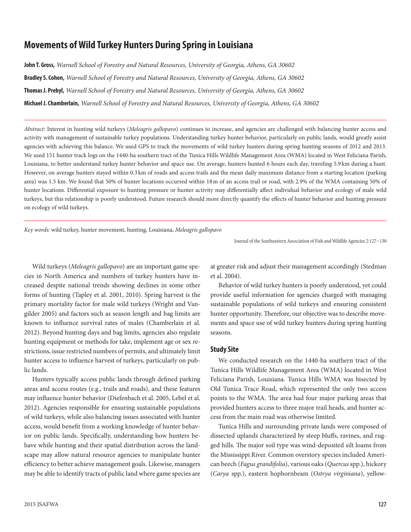# **Movements of Wild Turkey Hunters During Spring in Louisiana**

**John T. Gross,** *Warnell School of Forestry and Natural Resources, University of Georgia, Athens, GA 30602* **Bradley S. Cohen,** *Warnell School of Forestry and Natural Resources, University of Georgia, Athens, GA 30602* **Thomas J. Prebyl,** *Warnell School of Forestry and Natural Resources, University of Georgia, Athens, GA 30602* **Michael J. Chamberlain,** *Warnell School of Forestry and Natural Resources, University of Georgia, Athens, GA 30602*

*Abstract:* Interest in hunting wild turkeys (*Meleagris gallopavo*) continues to increase, and agencies are challenged with balancing hunter access and activity with management of sustainable turkey populations. Understanding turkey hunter behavior, particularly on public lands, would greatly assist agencies with achieving this balance. We used GPS to track the movements of wild turkey hunters during spring hunting seasons of 2012 and 2013. We used 151 hunter track logs on the 1440-ha southern tract of the Tunica Hills Wildlife Management Area (WMA) located in West Feliciana Parish, Louisiana, to better understand turkey hunter behavior and space use. On average, hunters hunted 6 hours each day, traveling 5.9 km during a hunt. However, on average hunters stayed within 0.3 km of roads and access trails and the mean daily maximum distance from a starting location (parking area) was 1.5 km. We found that 50% of hunter locations occurred within 18m of an access trail or road, with 2.9% of the WMA containing 50% of hunter locations. Differential exposure to hunting pressure or hunter activity may differentially affect individual behavior and ecology of male wild turkeys, but this relationship is poorly understood. Future research should more directly quantify the effects of hunter behavior and hunting pressure on ecology of wild turkeys.

*Key words:* wild turkey, hunter movement, hunting, Louisiana, *Meleagris gallopavo*

Journal of the Southeastern Association of Fish and Wildlife Agencies 2:127−130

Wild turkeys (*Meleagris gallopavo*) are an important game species in North America and numbers of turkey hunters have increased despite national trends showing declines in some other forms of hunting (Tapley et al. 2001, 2010). Spring harvest is the primary mortality factor for male wild turkeys (Wright and Vangilder 2005) and factors such as season length and bag limits are known to influence survival rates of males (Chamberlain et al. 2012). Beyond hunting days and bag limits, agencies also regulate hunting equipment or methods for take, implement age or sex restrictions, issue restricted numbers of permits, and ultimately limit hunter access to influence harvest of turkeys, particularly on public lands.

Hunters typically access public lands through defined parking areas and access routes (e.g., trails and roads), and these features may influence hunter behavior (Diefenbach et al. 2005, Lebel et al. 2012). Agencies responsible for ensuring sustainable populations of wild turkeys, while also balancing issues associated with hunter access, would benefit from a working knowledge of hunter behavior on public lands. Specifically, understanding how hunters behave while hunting and their spatial distribution across the landscape may allow natural resource agencies to manipulate hunter efficiency to better achieve management goals. Likewise, managers may be able to identify tracts of public land where game species are

at greater risk and adjust their management accordingly (Stedman et al. 2004).

Behavior of wild turkey hunters is poorly understood, yet could provide useful information for agencies charged with managing sustainable populations of wild turkeys and ensuring consistent hunter opportunity. Therefore, our objective was to describe movements and space use of wild turkey hunters during spring hunting seasons.

#### **Study Site**

We conducted research on the 1440-ha southern tract of the Tunica Hills Wildlife Management Area (WMA) located in West Feliciana Parish, Louisiana. Tunica Hills WMA was bisected by Old Tunica Trace Road, which represented the only two access points to the WMA. The area had four major parking areas that provided hunters access to three major trail heads, and hunter access from the main road was otherwise limited.

Tunica Hills and surrounding private lands were composed of dissected uplands characterized by steep bluffs, ravines, and rugged hills. The major soil type was wind-deposited silt loams from the Mississippi River. Common overstory species included American beech (*Fagus grandifolia*), various oaks (*Quercus* spp.), hickory (*Carya* spp.), eastern hophornbeam (*Ostrya virginiana*), yellow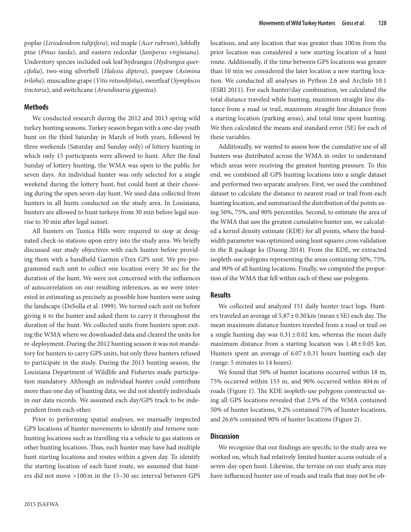poplar (*Liriodendron tulipifera*), red maple (*Acer rubrum*), loblolly pine (*Pinus taeda*), and eastern redcedar (*Juniperus virginiana*). Understory species included oak leaf hydrangea (*Hydrangea quercifolia*), two-wing silverbell (*Halesia diptera*), pawpaw (*Asimina triloba*), muscadine grape (*Vitis rotundifolia*), sweetleaf (*Symplocos tinctoria*), and switchcane (*Arundinaria gigantea*).

#### **Methods**

We conducted research during the 2012 and 2013 spring wild turkey hunting seasons. Turkey season began with a one-day youth hunt on the third Saturday in March of both years, followed by three weekends (Saturday and Sunday only) of lottery hunting in which only 15 participants were allowed to hunt. After the final Sunday of lottery hunting, the WMA was open to the public for seven days. An individual hunter was only selected for a single weekend during the lottery hunt, but could hunt at their choosing during the open seven-day hunt. We used data collected from hunters in all hunts conducted on the study area. In Louisiana, hunters are allowed to hunt turkeys from 30 min before legal sunrise to 30 min after legal sunset.

All hunters on Tunica Hills were required to stop at designated check-in stations upon entry into the study area. We briefly discussed our study objectives with each hunter before providing them with a handheld Garmin eTrex GPS unit. We pre-programmed each unit to collect one location every 30 sec for the duration of the hunt. We were not concerned with the influences of autocorrelation on our resulting inferences, as we were interested in estimating as precisely as possible how hunters were using the landscape (DeSolla et al. 1999). We turned each unit on before giving it to the hunter and asked them to carry it throughout the duration of the hunt. We collected units from hunters upon exiting the WMA where we downloaded data and cleared the units for re-deployment. During the 2012 hunting season it was not mandatory for hunters to carry GPS units, but only three hunters refused to participate in the study. During the 2013 hunting season, the Louisiana Department of Wildlife and Fisheries made participation mandatory. Although an individual hunter could contribute more than one day of hunting data, we did not identify individuals in our data records. We assumed each day/GPS track to be independent from each other.

Prior to performing spatial analyses, we manually inspected GPS locations of hunter movements to identify and remove nonhunting locations such as travelling via a vehicle to gas stations or other hunting locations. Thus, each hunter may have had multiple hunt starting locations and routes within a given day. To identify the starting location of each hunt route, we assumed that hunters did not move >100m in the 15–30 sec interval between GPS

locations, and any location that was greater than 100m from the prior location was considered a new starting location of a hunt route. Additionally, if the time between GPS locations was greater than 10 min we considered the later location a new starting location. We conducted all analyses in Python 2.6 and ArcInfo 10.1 (ESRI 2011). For each hunter/day combination, we calculated the total distance traveled while hunting, maximum straight line distance from a road or trail, maximum straight line distance from a starting location (parking areas), and total time spent hunting. We then calculated the means and standard error (SE) for each of these variables.

Additionally, we wanted to assess how the cumulative use of all hunters was distributed across the WMA in order to understand which areas were receiving the greatest hunting pressure. To this end, we combined all GPS hunting locations into a single dataset and performed two separate analyses. First, we used the combined dataset to calculate the distance to nearest road or trail from each hunting location, and summarized the distribution of the points using 50%, 75%, and 90% percentiles. Second, to estimate the area of the WMA that saw the greatest cumulative hunter use, we calculated a kernel density estimate (KDE) for all points, where the bandwidth parameter was optimized using least squares cross validation in the R package ks (Duong 2014). From the KDE, we extracted isopleth-use polygons representing the areas containing 50%, 75%, and 90% of all hunting locations. Finally, we computed the proportion of the WMA that fell within each of these use polygons.

#### **Results**

We collected and analyzed 151 daily hunter tract logs. Hunters traveled an average of  $5.87 \pm 0.30$  km (mean  $\pm$  SE) each day. The mean maximum distance hunters traveled from a road or trail on a single hunting day was  $0.31 \pm 0.02$  km, whereas the mean daily maximum distance from a starting location was 1.48±0.05 km. Hunters spent an average of  $6.07 \pm 0.31$  hours hunting each day (range: 5 minutes to 14 hours).

We found that 50% of hunter locations occurred within 18 m, 75% occurred within 153 m, and 90% occurred within 404m of roads (Figure 1). The KDE isopleth-use polygons constructed using all GPS locations revealed that 2.9% of the WMA contained 50% of hunter locations, 9.2% contained 75% of hunter locations, and 26.6% contained 90% of hunter locations (Figure 2).

#### **Discussion**

We recognize that our findings are specific to the study area we worked on, which had relatively limited hunter access outside of a seven-day open hunt. Likewise, the terrain on our study area may have influenced hunter use of roads and trails that may not be ob-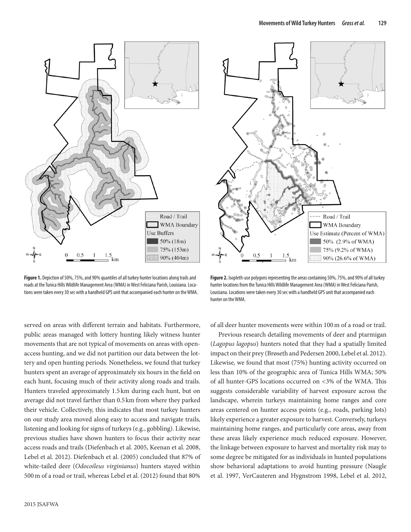

**Figure 1.** Depiction of 50%, 75%, and 90% quantiles of all turkey hunter locations along trails and roads at the Tunica Hills Wildlife Management Area (WMA) in West Feliciana Parish, Louisiana. Locations were taken every 30 sec with a handheld GPS unit that accompanied each hunter on the WMA.

served on areas with different terrain and habitats. Furthermore, public areas managed with lottery hunting likely witness hunter movements that are not typical of movements on areas with openaccess hunting, and we did not partition our data between the lottery and open hunting periods. Nonetheless, we found that turkey hunters spent an average of approximately six hours in the field on each hunt, focusing much of their activity along roads and trails. Hunters traveled approximately 1.5 km during each hunt, but on average did not travel farther than 0.5km from where they parked their vehicle. Collectively, this indicates that most turkey hunters on our study area moved along easy to access and navigate trails, listening and looking for signs of turkeys (e.g., gobbling). Likewise, previous studies have shown hunters to focus their activity near access roads and trails (Diefenbach et al. 2005, Keenan et al. 2008, Lebel et al. 2012). Diefenbach et al. (2005) concluded that 87% of white-tailed deer (*Odocoileus virginianus*) hunters stayed within 500m of a road or trail, whereas Lebel et al. (2012) found that 80%



**Figure 2.** Isopleth-use polygons representing the areas containing 50%, 75%, and 90% of all turkey hunter locations from the Tunica Hills Wildlife Management Area (WMA) in West Feliciana Parish, Louisiana. Locations were taken every 30 sec with a handheld GPS unit that accompanied each hunter on the WMA.

of all deer hunter movements were within 100m of a road or trail.

Previous research detailing movements of deer and ptarmigan (*Lagopus lagopus*) hunters noted that they had a spatially limited impact on their prey (Brøseth and Pedersen 2000, Lebel et al. 2012). Likewise, we found that most (75%) hunting activity occurred on less than 10% of the geographic area of Tunica Hills WMA; 50% of all hunter-GPS locations occurred on <3% of the WMA. This suggests considerable variability of harvest exposure across the landscape, wherein turkeys maintaining home ranges and core areas centered on hunter access points (e.g., roads, parking lots) likely experience a greater exposure to harvest. Conversely, turkeys maintaining home ranges, and particularly core areas, away from these areas likely experience much reduced exposure. However, the linkage between exposure to harvest and mortality risk may to some degree be mitigated for as individuals in hunted populations show behavioral adaptations to avoid hunting pressure (Naugle et al. 1997, VerCauteren and Hygnstrom 1998, Lebel et al. 2012,